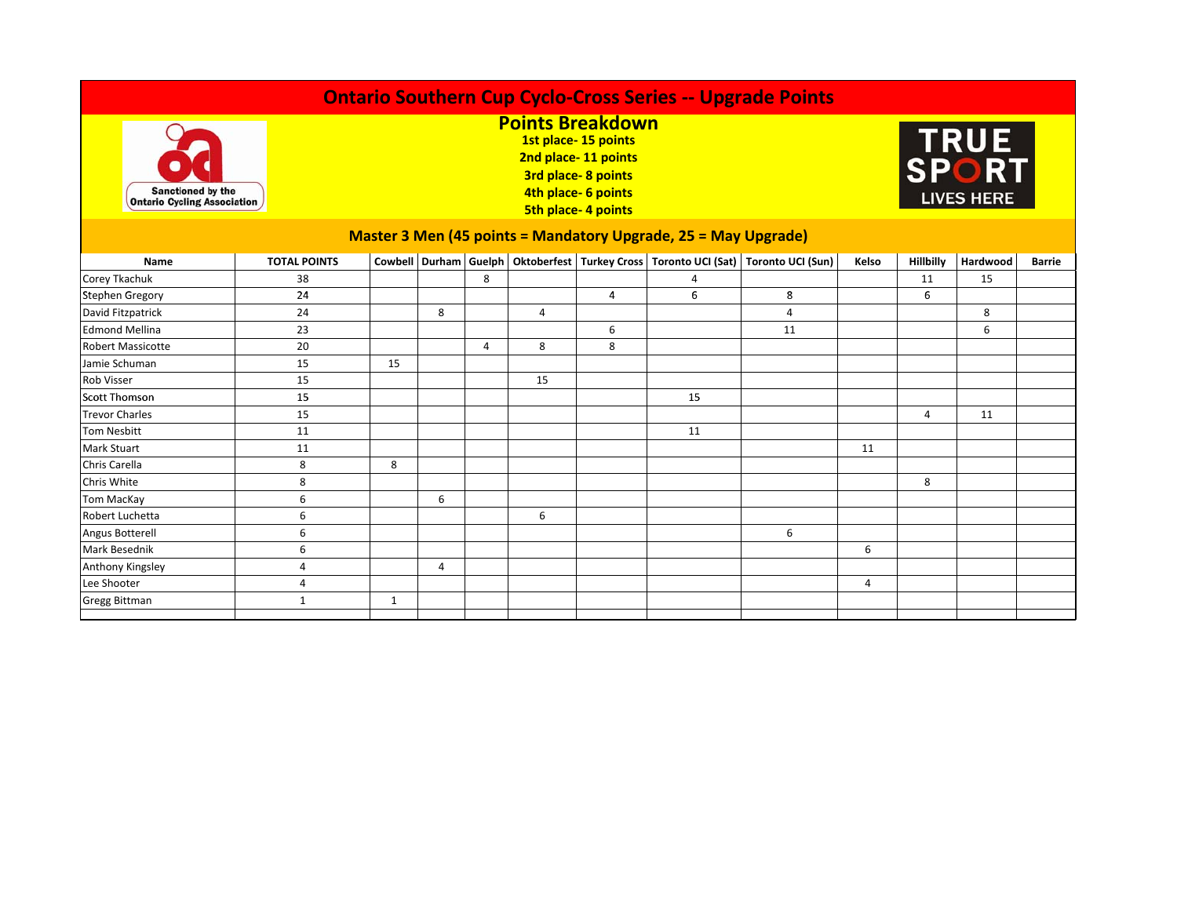| <b>Ontario Southern Cup Cyclo-Cross Series -- Upgrade Points</b>      |                     |                                                                                                                                                        |   |   |    |   |    |                                                                                    |       |           |          |               |
|-----------------------------------------------------------------------|---------------------|--------------------------------------------------------------------------------------------------------------------------------------------------------|---|---|----|---|----|------------------------------------------------------------------------------------|-------|-----------|----------|---------------|
| <b>Sanctioned by the</b><br><b>Ontario Cycling Association</b>        |                     | <b>Points Breakdown</b><br>1st place-15 points<br>2nd place-11 points<br><b>3rd place-8 points</b><br>4th place- 6 points<br><b>5th place-4 points</b> |   |   |    |   |    | <b>TRUE<br/>SPORT</b><br><b>LIVES HERE</b>                                         |       |           |          |               |
| <b>Master 3 Men (45 points = Mandatory Upgrade, 25 = May Upgrade)</b> |                     |                                                                                                                                                        |   |   |    |   |    |                                                                                    |       |           |          |               |
| Name                                                                  | <b>TOTAL POINTS</b> |                                                                                                                                                        |   |   |    |   |    | Cowbell Durham Guelph Oktoberfest Turkey Cross Toronto UCI (Sat) Toronto UCI (Sun) | Kelso | Hillbilly | Hardwood | <b>Barrie</b> |
| Corey Tkachuk                                                         | 38                  |                                                                                                                                                        |   | 8 |    |   | 4  |                                                                                    |       | 11        | 15       |               |
| <b>Stephen Gregory</b>                                                | 24                  |                                                                                                                                                        |   |   |    | 4 | 6  | 8                                                                                  |       | 6         |          |               |
| David Fitzpatrick                                                     | 24                  |                                                                                                                                                        | 8 |   | 4  |   |    | 4                                                                                  |       |           | 8        |               |
| <b>Edmond Mellina</b>                                                 | 23                  |                                                                                                                                                        |   |   |    | 6 |    | 11                                                                                 |       |           | 6        |               |
| <b>Robert Massicotte</b>                                              | 20                  |                                                                                                                                                        |   | 4 | 8  | 8 |    |                                                                                    |       |           |          |               |
| Jamie Schuman                                                         | 15                  | 15                                                                                                                                                     |   |   |    |   |    |                                                                                    |       |           |          |               |
| <b>Rob Visser</b>                                                     | 15                  |                                                                                                                                                        |   |   | 15 |   |    |                                                                                    |       |           |          |               |
| <b>Scott Thomson</b>                                                  | 15                  |                                                                                                                                                        |   |   |    |   | 15 |                                                                                    |       |           |          |               |
| <b>Trevor Charles</b>                                                 | 15                  |                                                                                                                                                        |   |   |    |   |    |                                                                                    |       | 4         | 11       |               |
| <b>Tom Nesbitt</b>                                                    | 11                  |                                                                                                                                                        |   |   |    |   | 11 |                                                                                    |       |           |          |               |
| <b>Mark Stuart</b>                                                    | 11                  |                                                                                                                                                        |   |   |    |   |    |                                                                                    | 11    |           |          |               |
| Chris Carella                                                         | 8                   | 8                                                                                                                                                      |   |   |    |   |    |                                                                                    |       |           |          |               |
| Chris White                                                           | 8                   |                                                                                                                                                        |   |   |    |   |    |                                                                                    |       | 8         |          |               |
| Tom MacKay                                                            | 6                   |                                                                                                                                                        | 6 |   |    |   |    |                                                                                    |       |           |          |               |
| Robert Luchetta                                                       | 6                   |                                                                                                                                                        |   |   | 6  |   |    |                                                                                    |       |           |          |               |
| Angus Botterell                                                       | 6                   |                                                                                                                                                        |   |   |    |   |    | 6                                                                                  |       |           |          |               |
| <b>Mark Besednik</b>                                                  | 6                   |                                                                                                                                                        |   |   |    |   |    |                                                                                    | 6     |           |          |               |
| Anthony Kingsley                                                      | 4                   |                                                                                                                                                        | 4 |   |    |   |    |                                                                                    |       |           |          |               |
| Lee Shooter                                                           | 4                   |                                                                                                                                                        |   |   |    |   |    |                                                                                    | 4     |           |          |               |
| <b>Gregg Bittman</b>                                                  | $\mathbf{1}$        | 1                                                                                                                                                      |   |   |    |   |    |                                                                                    |       |           |          |               |
|                                                                       |                     |                                                                                                                                                        |   |   |    |   |    |                                                                                    |       |           |          |               |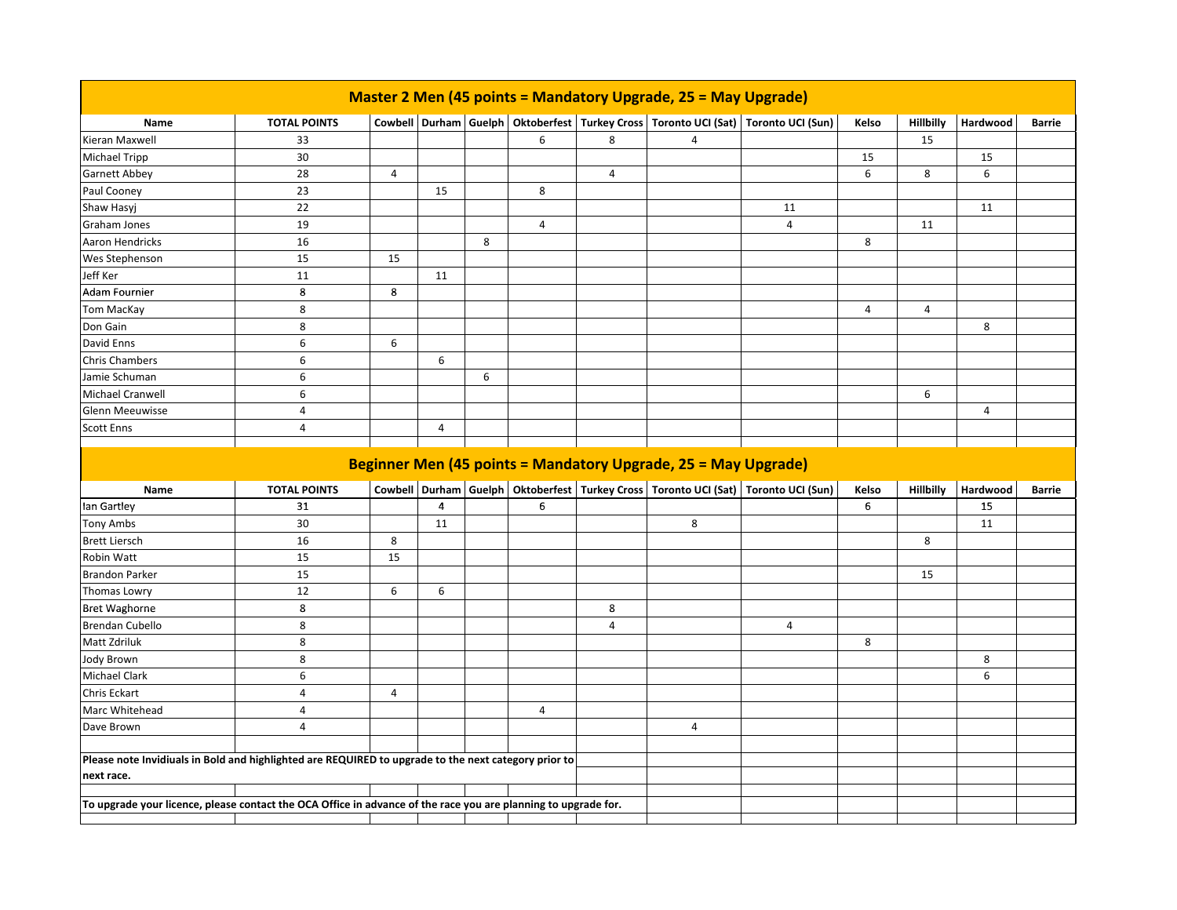| <b>Master 2 Men (45 points = Mandatory Upgrade, 25 = May Upgrade)</b>                                          |                     |                |                |   |                |                |            |                                                                                    |            |           |          |               |
|----------------------------------------------------------------------------------------------------------------|---------------------|----------------|----------------|---|----------------|----------------|------------|------------------------------------------------------------------------------------|------------|-----------|----------|---------------|
| Name                                                                                                           | <b>TOTAL POINTS</b> |                |                |   |                |                |            | Cowbell Durham Guelph Oktoberfest Turkey Cross Toronto UCI (Sat) Toronto UCI (Sun) | Kelso      | Hillbilly | Hardwood | <b>Barrie</b> |
| Kieran Maxwell                                                                                                 | 33                  |                |                |   | 6              | 8              | $\sqrt{4}$ |                                                                                    |            | 15        |          |               |
| <b>Michael Tripp</b>                                                                                           | 30                  |                |                |   |                |                |            |                                                                                    | 15         |           | 15       |               |
| <b>Garnett Abbey</b>                                                                                           | 28                  | $\overline{4}$ |                |   |                | $\overline{4}$ |            |                                                                                    | 6          | 8         | 6        |               |
| Paul Cooney                                                                                                    | 23                  |                | 15             |   | 8              |                |            |                                                                                    |            |           |          |               |
| Shaw Hasyj                                                                                                     | 22                  |                |                |   |                |                |            | 11                                                                                 |            |           | 11       |               |
| <b>Graham Jones</b>                                                                                            | 19                  |                |                |   | 4              |                |            | $\overline{4}$                                                                     |            | 11        |          |               |
| Aaron Hendricks                                                                                                | 16                  |                |                | 8 |                |                |            |                                                                                    | 8          |           |          |               |
| Wes Stephenson                                                                                                 | 15                  | 15             |                |   |                |                |            |                                                                                    |            |           |          |               |
| Jeff Ker                                                                                                       | 11                  |                | 11             |   |                |                |            |                                                                                    |            |           |          |               |
| Adam Fournier                                                                                                  | 8                   | 8              |                |   |                |                |            |                                                                                    |            |           |          |               |
| <b>Tom MacKay</b>                                                                                              | 8                   |                |                |   |                |                |            |                                                                                    | $\sqrt{4}$ | 4         |          |               |
| Don Gain                                                                                                       | 8                   |                |                |   |                |                |            |                                                                                    |            |           | 8        |               |
| David Enns                                                                                                     | 6                   | 6              |                |   |                |                |            |                                                                                    |            |           |          |               |
| <b>Chris Chambers</b>                                                                                          | 6                   |                | 6              |   |                |                |            |                                                                                    |            |           |          |               |
| Jamie Schuman                                                                                                  | 6                   |                |                | 6 |                |                |            |                                                                                    |            |           |          |               |
| Michael Cranwell                                                                                               | 6                   |                |                |   |                |                |            |                                                                                    |            | 6         |          |               |
| <b>Glenn Meeuwisse</b>                                                                                         | 4                   |                |                |   |                |                |            |                                                                                    |            |           | 4        |               |
| <b>Scott Enns</b>                                                                                              | 4                   |                | 4              |   |                |                |            |                                                                                    |            |           |          |               |
|                                                                                                                |                     |                |                |   |                |                |            |                                                                                    |            |           |          |               |
| Beginner Men (45 points = Mandatory Upgrade, 25 = May Upgrade)                                                 |                     |                |                |   |                |                |            |                                                                                    |            |           |          |               |
|                                                                                                                |                     |                |                |   |                |                |            |                                                                                    |            |           |          |               |
| Name                                                                                                           | <b>TOTAL POINTS</b> |                |                |   |                |                |            | Cowbell Durham Guelph Oktoberfest Turkey Cross Toronto UCI (Sat) Toronto UCI (Sun) | Kelso      | Hillbilly | Hardwood | <b>Barrie</b> |
| lan Gartley                                                                                                    | 31                  |                | $\overline{4}$ |   | 6              |                |            |                                                                                    | 6          |           | 15       |               |
| <b>Tony Ambs</b>                                                                                               | 30                  |                | 11             |   |                |                | 8          |                                                                                    |            |           | 11       |               |
| <b>Brett Liersch</b>                                                                                           | 16                  | 8              |                |   |                |                |            |                                                                                    |            | 8         |          |               |
| Robin Watt                                                                                                     | 15                  | 15             |                |   |                |                |            |                                                                                    |            |           |          |               |
| <b>Brandon Parker</b>                                                                                          | 15                  |                |                |   |                |                |            |                                                                                    |            | 15        |          |               |
| Thomas Lowry                                                                                                   | 12                  | 6              | 6              |   |                |                |            |                                                                                    |            |           |          |               |
| <b>Bret Waghorne</b>                                                                                           | 8                   |                |                |   |                | 8              |            |                                                                                    |            |           |          |               |
| <b>Brendan Cubello</b>                                                                                         | 8                   |                |                |   |                | 4              |            | 4                                                                                  |            |           |          |               |
| Matt Zdriluk                                                                                                   | 8                   |                |                |   |                |                |            |                                                                                    | 8          |           |          |               |
| <b>Jody Brown</b>                                                                                              | 8                   |                |                |   |                |                |            |                                                                                    |            |           | 8        |               |
| <b>Michael Clark</b>                                                                                           | 6                   |                |                |   |                |                |            |                                                                                    |            |           | 6        |               |
| <b>Chris Eckart</b>                                                                                            | $\overline{4}$      | 4              |                |   |                |                |            |                                                                                    |            |           |          |               |
| Marc Whitehead                                                                                                 | 4                   |                |                |   | $\overline{4}$ |                |            |                                                                                    |            |           |          |               |
| Dave Brown                                                                                                     | $\overline{4}$      |                |                |   |                |                | 4          |                                                                                    |            |           |          |               |
|                                                                                                                |                     |                |                |   |                |                |            |                                                                                    |            |           |          |               |
| Please note Invidiuals in Bold and highlighted are REQUIRED to upgrade to the next category prior to           |                     |                |                |   |                |                |            |                                                                                    |            |           |          |               |
| next race.                                                                                                     |                     |                |                |   |                |                |            |                                                                                    |            |           |          |               |
| To upgrade your licence, please contact the OCA Office in advance of the race you are planning to upgrade for. |                     |                |                |   |                |                |            |                                                                                    |            |           |          |               |